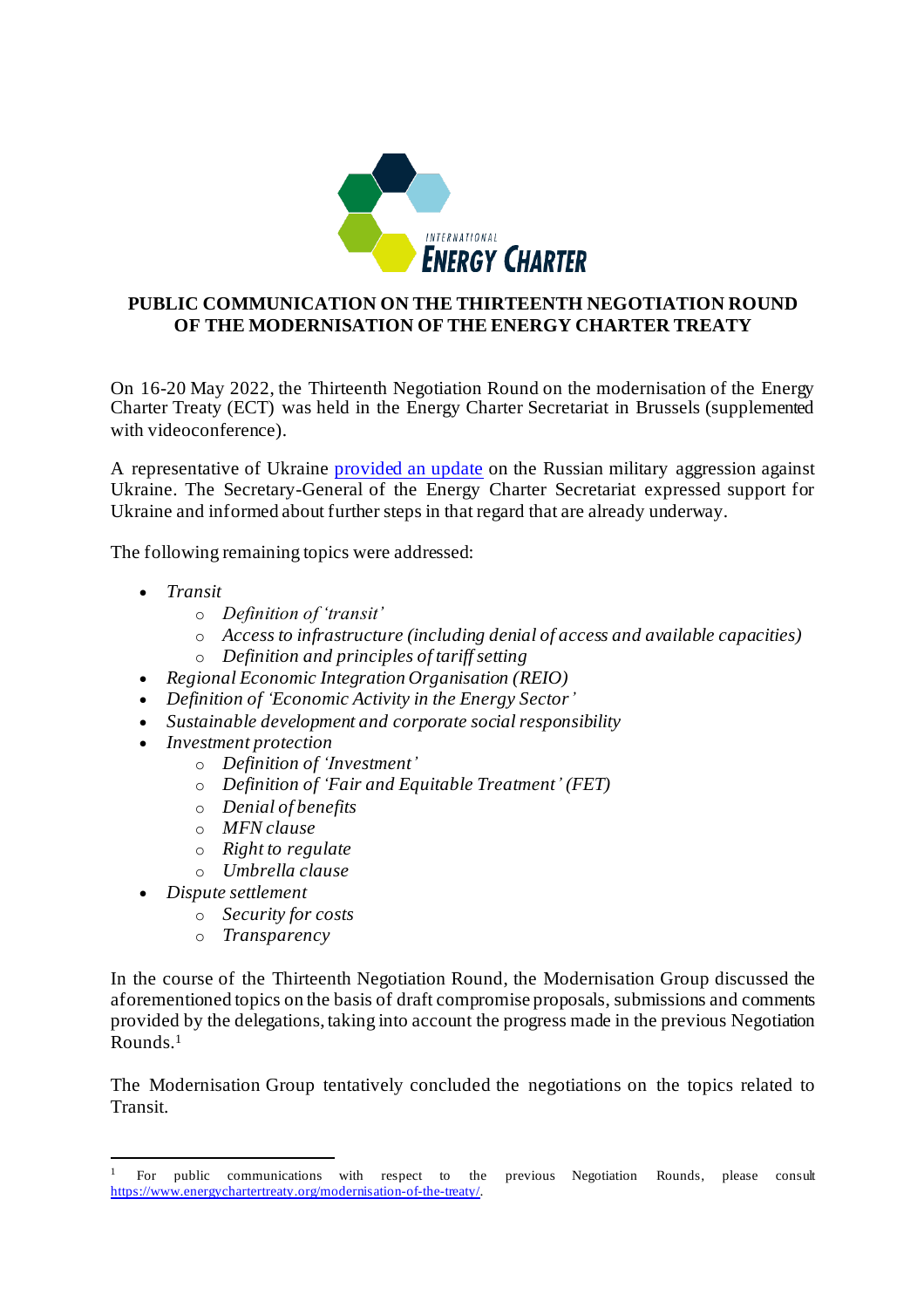

## **PUBLIC COMMUNICATION ON THE THIRTEENTH NEGOTIATION ROUND OF THE MODERNISATION OF THE ENERGY CHARTER TREATY**

On 16-20 May 2022, the Thirteenth Negotiation Round on the modernisation of the Energy Charter Treaty (ECT) was held in the Energy Charter Secretariat in Brussels (supplemented with videoconference).

A representative of Ukraine [provided an update](https://www.energycharter.org/media/news/article/statement-of-the-delegation-of-ukraine-during-the-13th-round-of-negotiations/?tx_news_pi1%5Bcontroller%5D=News&tx_news_pi1%5Baction%5D=detail&cHash=5f9c2427c5851bf5dcb681fa7af41303) on the Russian military aggression against Ukraine. The Secretary-General of the Energy Charter Secretariat expressed support for Ukraine and informed about further steps in that regard that are already underway.

The following remaining topics were addressed:

- *Transit*
	- o *Definition of 'transit'*
	- o *Access to infrastructure (including denial of access and available capacities)*
	- o *Definition and principles of tariff setting*
- *Regional Economic Integration Organisation (REIO)*
- *Definition of 'Economic Activity in the Energy Sector'*
- *Sustainable development and corporate social responsibility*
- *Investment protection* 
	- o *Definition of 'Investment'*
	- o *Definition of 'Fair and Equitable Treatment' (FET)*
	- o *Denial of benefits*
	- o *MFN clause*
	- o *Right to regulate*
	- o *Umbrella clause*
- *Dispute settlement* 
	- o *Security for costs*
	- o *Transparency*

In the course of the Thirteenth Negotiation Round, the Modernisation Group discussed the aforementioned topics on the basis of draft compromise proposals, submissions and comments provided by the delegations, taking into account the progress made in the previous Negotiation Rounds. 1

The Modernisation Group tentatively concluded the negotiations on the topics related to Transit.

<sup>&</sup>lt;sup>1</sup> For public communications with respect to the previous Negotiation Rounds, please consult <https://www.energychartertreaty.org/modernisation-of-the-treaty/>.